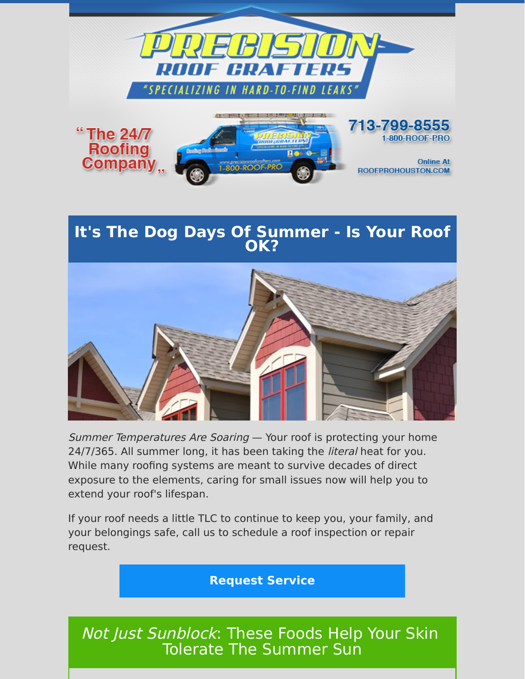

### **It's The Dog Days Of Summer - Is Your Roof OK?**



Summer Temperatures Are Soaring - Your roof is protecting your home 24/7/365. All summer long, it has been taking the *literal* heat for you. While many roofing systems are meant to survive decades of direct exposure to the elements, caring for small issues now will help you to extend your roof's lifespan.

If your roof needs a little TLC to continue to keep you, your family, and your belongings safe, call us to schedule a roof inspection or repair request.

#### **[Request Service](https://www.precisionroofcrafters.com/contact-us.php)**

## *Not Just Sunblock*: These Foods Help Your Skin Tolerate The Summer Sun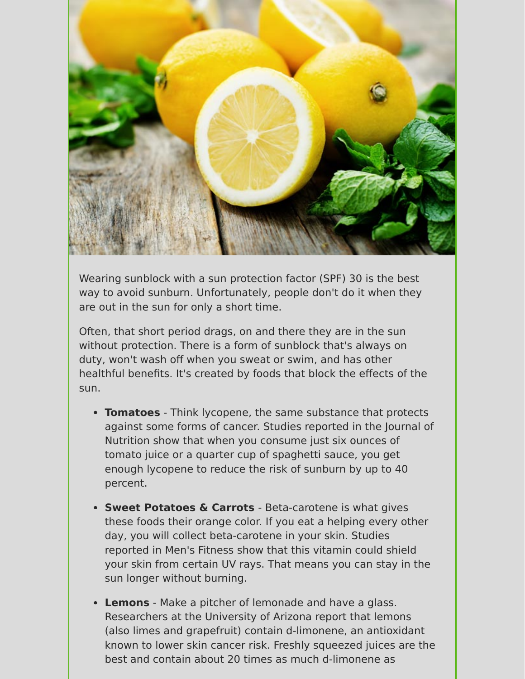

Wearing sunblock with a sun protection factor (SPF) 30 is the best way to avoid sunburn. Unfortunately, people don't do it when they are out in the sun for only a short time.

Often, that short period drags, on and there they are in the sun without protection. There is a form of sunblock that's always on duty, won't wash off when you sweat or swim, and has other healthful benefits. It's created by foods that block the effects of the sun.

- **Tomatoes** Think lycopene, the same substance that protects against some forms of cancer. Studies reported in the Journal of Nutrition show that when you consume just six ounces of tomato juice or a quarter cup of spaghetti sauce, you get enough lycopene to reduce the risk of sunburn by up to 40 percent.
- **Sweet Potatoes & Carrots**  Beta-carotene is what gives these foods their orange color. If you eat a helping every other day, you will collect beta-carotene in your skin. Studies reported in Men's Fitness show that this vitamin could shield your skin from certain UV rays. That means you can stay in the sun longer without burning.
- **Lemons** Make a pitcher of lemonade and have a glass. Researchers at the University of Arizona report that lemons (also limes and grapefruit) contain d-limonene, an antioxidant known to lower skin cancer risk. Freshly squeezed juices are the best and contain about 20 times as much d-limonene as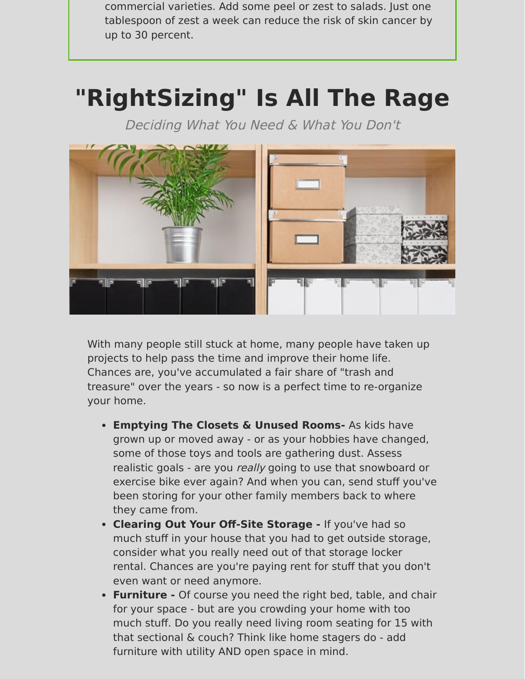commercial varieties. Add some peel or zest to salads. Just one tablespoon of zest a week can reduce the risk of skin cancer by up to 30 percent.

# **"RightSizing" Is All The Rage**

Deciding What You Need & What You Don't



With many people still stuck at home, many people have taken up projects to help pass the time and improve their home life. Chances are, you've accumulated a fair share of "trash and treasure" over the years - so now is a perfect time to re-organize your home.

- **Emptying The Closets & Unused Rooms-** As kids have grown up or moved away - or as your hobbies have changed, some of those toys and tools are gathering dust. Assess realistic goals - are you really going to use that snowboard or exercise bike ever again? And when you can, send stuff you've been storing for your other family members back to where they came from.
- **Clearing Out Your Off-Site Storage** If you've had so much stuff in your house that you had to get outside storage, consider what you really need out of that storage locker rental. Chances are you're paying rent for stuff that you don't even want or need anymore.
- **Furniture** Of course you need the right bed, table, and chair for your space - but are you crowding your home with too much stuff. Do you really need living room seating for 15 with that sectional & couch? Think like home stagers do - add furniture with utility AND open space in mind.